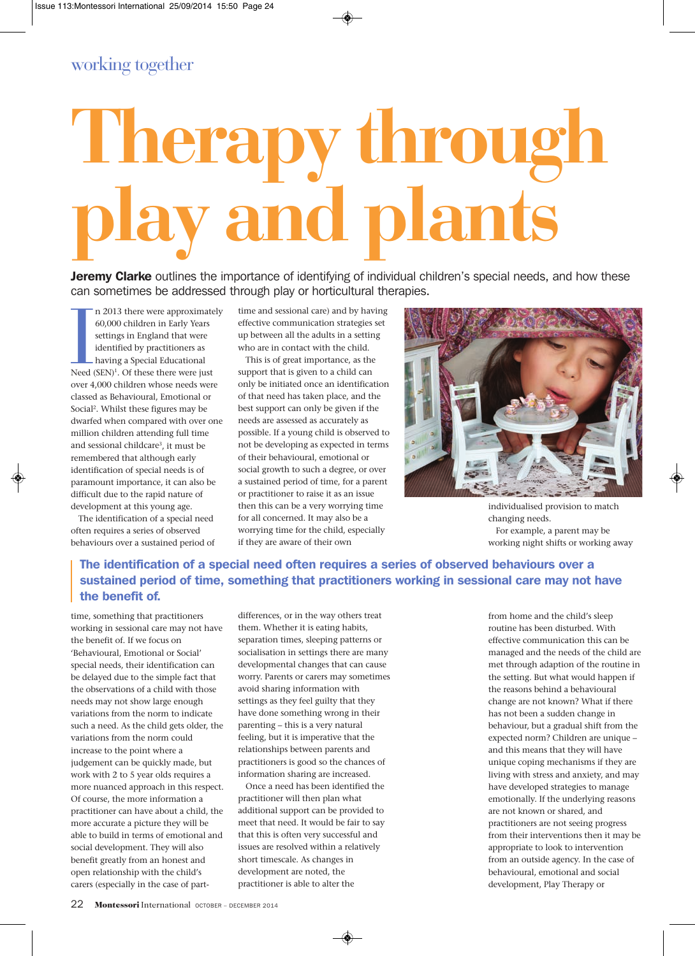# working together

# **Therapy through play and plants**

Jeremy Clarke outlines the importance of identifying of individual children's special needs, and how these can sometimes be addressed through play or horticultural therapies.

Im 2013 there were approximate 60,000 children in Early Years<br>settings in England that were<br>identified by practitioners as<br>having a Special Educational<br>Need (SEN)<sup>1</sup>. Of these there were just n 2013 there were approximately 60,000 children in Early Years settings in England that were identified by practitioners as having a Special Educational over 4,000 children whose needs were classed as Behavioural, Emotional or Social<sup>2</sup>. Whilst these figures may be dwarfed when compared with over one million children attending full time and sessional childcare3, it must be remembered that although early identification of special needs is of paramount importance, it can also be difficult due to the rapid nature of development at this young age.

The identification of a special need often requires a series of observed behaviours over a sustained period of time and sessional care) and by having effective communication strategies set up between all the adults in a setting who are in contact with the child.

This is of great importance, as the support that is given to a child can only be initiated once an identification of that need has taken place, and the best support can only be given if the needs are assessed as accurately as possible. If a young child is observed to not be developing as expected in terms of their behavioural, emotional or social growth to such a degree, or over a sustained period of time, for a parent or practitioner to raise it as an issue then this can be a very worrying time for all concerned. It may also be a worrying time for the child, especially if they are aware of their own



individualised provision to match changing needs. For example, a parent may be working night shifts or working away

# The identification of a special need often requires a series of observed behaviours over a sustained period of time, something that practitioners working in sessional care may not have the benefit of.

time, something that practitioners working in sessional care may not have the benefit of. If we focus on 'Behavioural, Emotional or Social' special needs, their identification can be delayed due to the simple fact that the observations of a child with those needs may not show large enough variations from the norm to indicate such a need. As the child gets older, the variations from the norm could increase to the point where a judgement can be quickly made, but work with 2 to 5 year olds requires a more nuanced approach in this respect. Of course, the more information a practitioner can have about a child, the more accurate a picture they will be able to build in terms of emotional and social development. They will also benefit greatly from an honest and open relationship with the child's carers (especially in the case of part-

differences, or in the way others treat them. Whether it is eating habits, separation times, sleeping patterns or socialisation in settings there are many developmental changes that can cause worry. Parents or carers may sometimes avoid sharing information with settings as they feel guilty that they have done something wrong in their parenting – this is a very natural feeling, but it is imperative that the relationships between parents and practitioners is good so the chances of information sharing are increased.

Once a need has been identified the practitioner will then plan what additional support can be provided to meet that need. It would be fair to say that this is often very successful and issues are resolved within a relatively short timescale. As changes in development are noted, the practitioner is able to alter the

from home and the child's sleep routine has been disturbed. With effective communication this can be managed and the needs of the child are met through adaption of the routine in the setting. But what would happen if the reasons behind a behavioural change are not known? What if there has not been a sudden change in behaviour, but a gradual shift from the expected norm? Children are unique – and this means that they will have unique coping mechanisms if they are living with stress and anxiety, and may have developed strategies to manage emotionally. If the underlying reasons are not known or shared, and practitioners are not seeing progress from their interventions then it may be appropriate to look to intervention from an outside agency. In the case of behavioural, emotional and social development, Play Therapy or